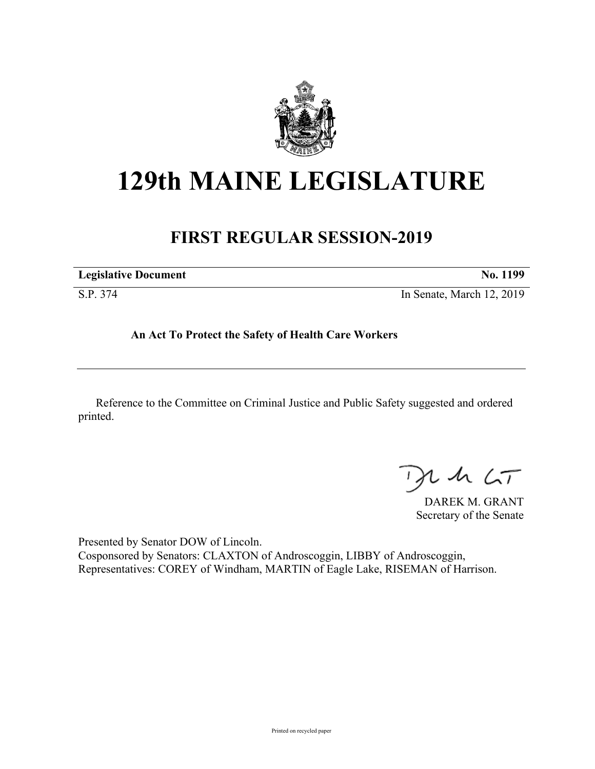

# **129th MAINE LEGISLATURE**

## **FIRST REGULAR SESSION-2019**

| <b>Legislative Document</b> | No. 1199                  |
|-----------------------------|---------------------------|
| S.P. 374                    | In Senate, March 12, 2019 |

**An Act To Protect the Safety of Health Care Workers**

Reference to the Committee on Criminal Justice and Public Safety suggested and ordered printed.

 $42.6T$ 

DAREK M. GRANT Secretary of the Senate

Presented by Senator DOW of Lincoln. Cosponsored by Senators: CLAXTON of Androscoggin, LIBBY of Androscoggin, Representatives: COREY of Windham, MARTIN of Eagle Lake, RISEMAN of Harrison.